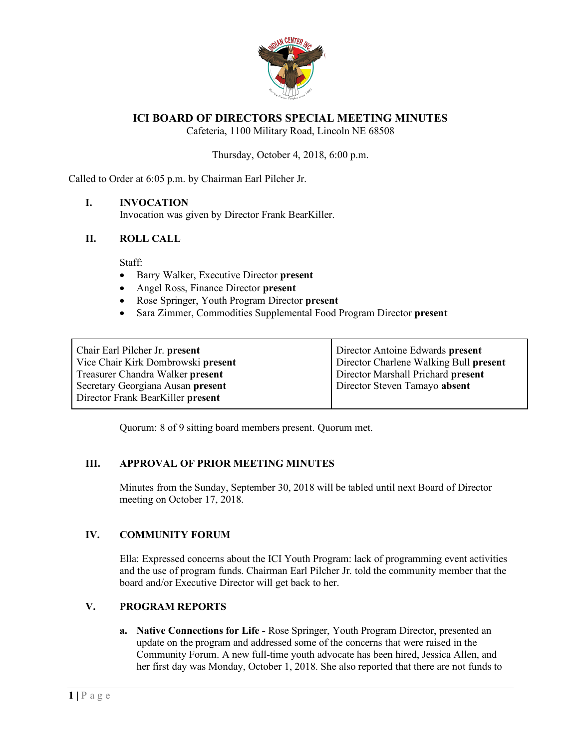

# **ICI BOARD OF DIRECTORS SPECIAL MEETING MINUTES**

Cafeteria, 1100 Military Road, Lincoln NE 68508

#### Thursday, October 4, 2018, 6:00 p.m.

Called to Order at 6:05 p.m. by Chairman Earl Pilcher Jr.

## **I. INVOCATION**

Invocation was given by Director Frank BearKiller.

## **II. ROLL CALL**

Staff:

- Barry Walker, Executive Director **present**
- Angel Ross, Finance Director **present**
- Rose Springer, Youth Program Director **present**
- Sara Zimmer, Commodities Supplemental Food Program Director **present**

| Chair Earl Pilcher Jr. present<br>Vice Chair Kirk Dombrowski present | Director Antoine Edwards present<br>Director Charlene Walking Bull present |
|----------------------------------------------------------------------|----------------------------------------------------------------------------|
| Treasurer Chandra Walker present                                     | Director Marshall Prichard present                                         |
| Secretary Georgiana Ausan present                                    | Director Steven Tamayo absent                                              |
| Director Frank BearKiller present                                    |                                                                            |

Quorum: 8 of 9 sitting board members present. Quorum met.

## **III. APPROVAL OF PRIOR MEETING MINUTES**

Minutes from the Sunday, September 30, 2018 will be tabled until next Board of Director meeting on October 17, 2018.

#### **IV. COMMUNITY FORUM**

Ella: Expressed concerns about the ICI Youth Program: lack of programming event activities and the use of program funds. Chairman Earl Pilcher Jr. told the community member that the board and/or Executive Director will get back to her.

#### **V. PROGRAM REPORTS**

**a. Native Connections for Life -** Rose Springer, Youth Program Director, presented an update on the program and addressed some of the concerns that were raised in the Community Forum. A new full-time youth advocate has been hired, Jessica Allen, and her first day was Monday, October 1, 2018. She also reported that there are not funds to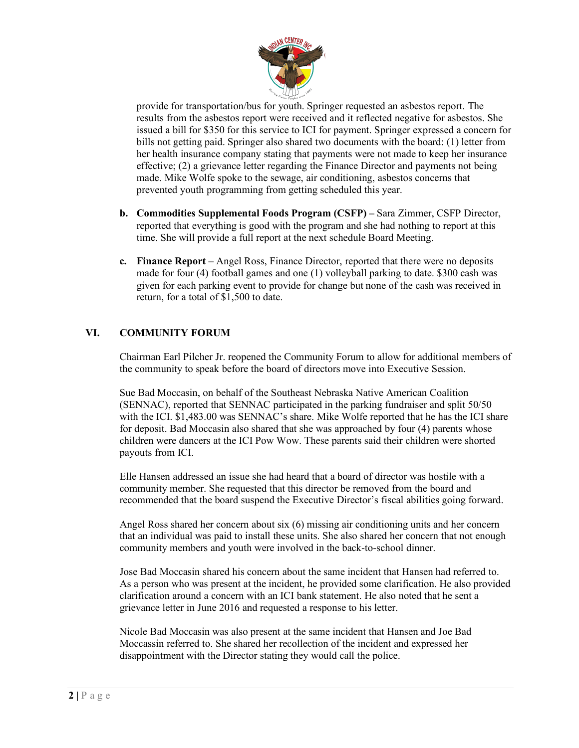

provide for transportation/bus for youth. Springer requested an asbestos report. The results from the asbestos report were received and it reflected negative for asbestos. She issued a bill for \$350 for this service to ICI for payment. Springer expressed a concern for bills not getting paid. Springer also shared two documents with the board: (1) letter from her health insurance company stating that payments were not made to keep her insurance effective; (2) a grievance letter regarding the Finance Director and payments not being made. Mike Wolfe spoke to the sewage, air conditioning, asbestos concerns that prevented youth programming from getting scheduled this year.

- **b. Commodities Supplemental Foods Program (CSFP) –** Sara Zimmer, CSFP Director, reported that everything is good with the program and she had nothing to report at this time. She will provide a full report at the next schedule Board Meeting.
- **c. Finance Report –** Angel Ross, Finance Director, reported that there were no deposits made for four (4) football games and one (1) volleyball parking to date. \$300 cash was given for each parking event to provide for change but none of the cash was received in return, for a total of \$1,500 to date.

# **VI. COMMUNITY FORUM**

Chairman Earl Pilcher Jr. reopened the Community Forum to allow for additional members of the community to speak before the board of directors move into Executive Session.

Sue Bad Moccasin, on behalf of the Southeast Nebraska Native American Coalition (SENNAC), reported that SENNAC participated in the parking fundraiser and split 50/50 with the ICI. \$1,483.00 was SENNAC's share. Mike Wolfe reported that he has the ICI share for deposit. Bad Moccasin also shared that she was approached by four (4) parents whose children were dancers at the ICI Pow Wow. These parents said their children were shorted payouts from ICI.

Elle Hansen addressed an issue she had heard that a board of director was hostile with a community member. She requested that this director be removed from the board and recommended that the board suspend the Executive Director's fiscal abilities going forward.

Angel Ross shared her concern about six (6) missing air conditioning units and her concern that an individual was paid to install these units. She also shared her concern that not enough community members and youth were involved in the back-to-school dinner.

Jose Bad Moccasin shared his concern about the same incident that Hansen had referred to. As a person who was present at the incident, he provided some clarification. He also provided clarification around a concern with an ICI bank statement. He also noted that he sent a grievance letter in June 2016 and requested a response to his letter.

Nicole Bad Moccasin was also present at the same incident that Hansen and Joe Bad Moccassin referred to. She shared her recollection of the incident and expressed her disappointment with the Director stating they would call the police.